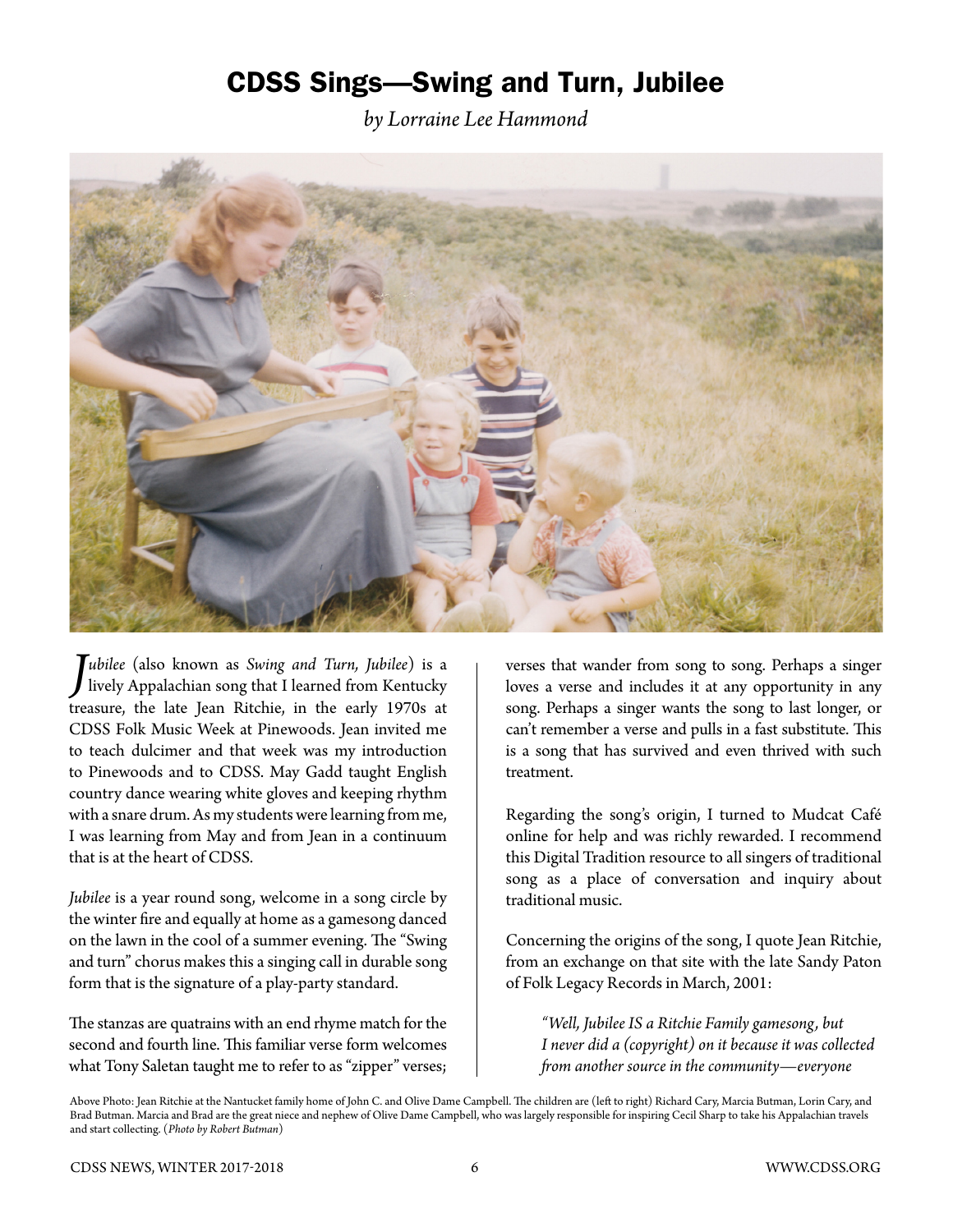## CDSS Sings—Swing and Turn, Jubilee

*by Lorraine Lee Hammond*



*J ubilee* (also known as *Swing and Turn, Jubilee*) is a lively Appalachian song that I learned from Kentucky treasure, the late Jean Ritchie, in the early 1970s at CDSS Folk Music Week at Pinewoods. Jean invited me to teach dulcimer and that week was my introduction to Pinewoods and to CDSS. May Gadd taught English country dance wearing white gloves and keeping rhythm with a snare drum. As my students were learning from me, I was learning from May and from Jean in a continuum that is at the heart of CDSS.

*Jubilee* is a year round song, welcome in a song circle by the winter fire and equally at home as a gamesong danced on the lawn in the cool of a summer evening. The "Swing and turn" chorus makes this a singing call in durable song form that is the signature of a play-party standard.

The stanzas are quatrains with an end rhyme match for the second and fourth line. This familiar verse form welcomes what Tony Saletan taught me to refer to as "zipper" verses; verses that wander from song to song. Perhaps a singer loves a verse and includes it at any opportunity in any song. Perhaps a singer wants the song to last longer, or can't remember a verse and pulls in a fast substitute. This is a song that has survived and even thrived with such treatment.

Regarding the song's origin, I turned to Mudcat Café online for help and was richly rewarded. I recommend this Digital Tradition resource to all singers of traditional song as a place of conversation and inquiry about traditional music.

Concerning the origins of the song, I quote Jean Ritchie, from an exchange on that site with the late Sandy Paton of Folk Legacy Records in March, 2001:

*"Well, Jubilee IS a Ritchie Family gamesong, but I never did a (copyright) on it because it was collected from another source in the community—everyone* 

Above Photo: Jean Ritchie at the Nantucket family home of John C. and Olive Dame Campbell. The children are (left to right) Richard Cary, Marcia Butman, Lorin Cary, and Brad Butman. Marcia and Brad are the great niece and nephew of Olive Dame Campbell, who was largely responsible for inspiring Cecil Sharp to take his Appalachian travels and start collecting. (*Photo by Robert Butman*)